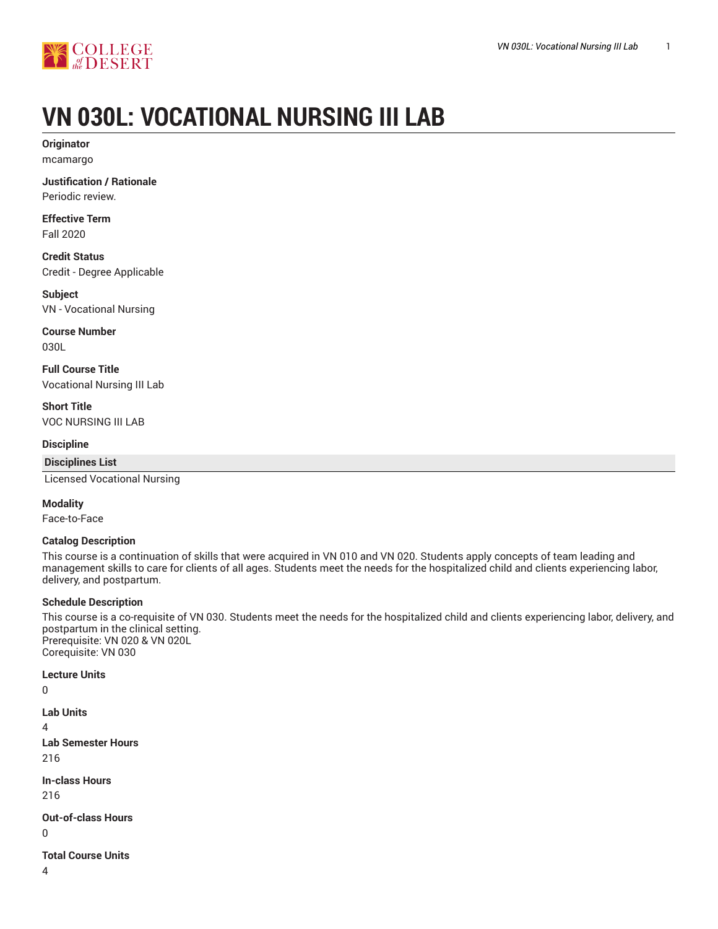

# **VN 030L: VOCATIONAL NURSING III LAB**

**Originator** mcamargo

**Justification / Rationale** Periodic review.

**Effective Term** Fall 2020

**Credit Status** Credit - Degree Applicable

**Subject** VN - Vocational Nursing

**Course Number** 030L

**Full Course Title** Vocational Nursing III Lab

**Short Title** VOC NURSING III LAB

**Discipline**

**Disciplines List**

Licensed Vocational Nursing

**Modality**

Face-to-Face

# **Catalog Description**

This course is a continuation of skills that were acquired in VN 010 and VN 020. Students apply concepts of team leading and management skills to care for clients of all ages. Students meet the needs for the hospitalized child and clients experiencing labor, delivery, and postpartum.

# **Schedule Description**

This course is a co-requisite of VN 030. Students meet the needs for the hospitalized child and clients experiencing labor, delivery, and postpartum in the clinical setting. Prerequisite: VN 020 & VN 020L Corequisite: VN 030

**Lecture Units**

0

**Lab Units**  $\overline{\mathbf{A}}$ **Lab Semester Hours** 216 **In-class Hours** 216 **Out-of-class Hours** 0 **Total Course Units** 4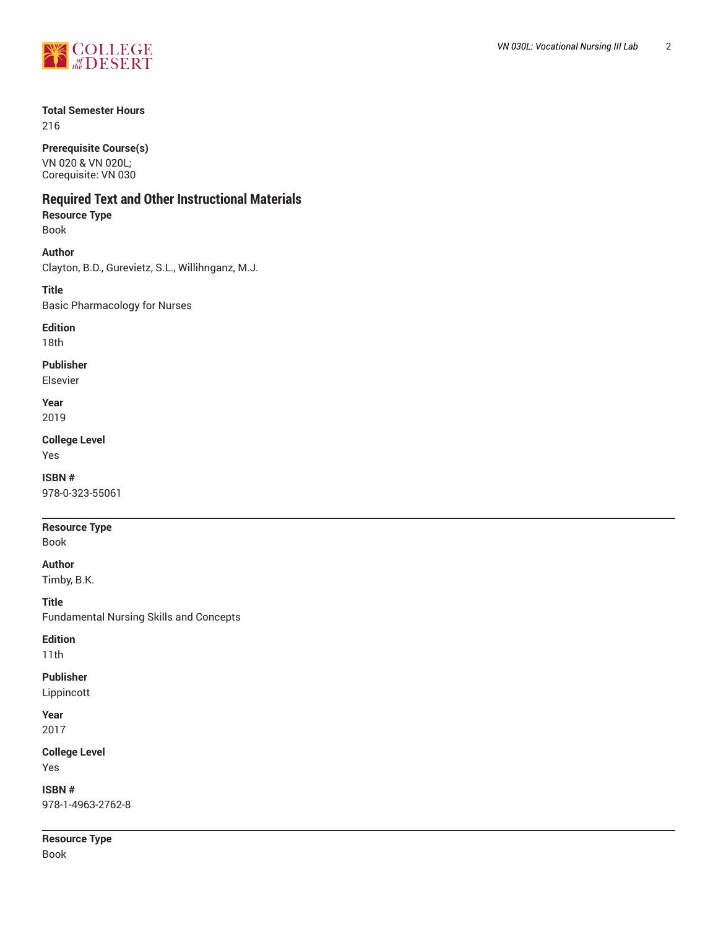

# **Total Semester Hours**

216

### **Prerequisite Course(s)**

VN 020 & VN 020L; Corequisite: VN 030

# **Required Text and Other Instructional Materials**

# **Resource Type**

Book

# **Author**

Clayton, B.D., Gurevietz, S.L., Willihnganz, M.J.

# **Title** Basic Pharmacology for Nurses

**Edition**

# 18th

**Publisher**

Elsevier

#### **Year** 2019

**College Level**

Yes

# **ISBN #** 978-0-323-55061

# **Resource Type**

Book

# **Author**

Timby, B.K.

**Title** Fundamental Nursing Skills and Concepts

# **Edition**

11th

# **Publisher** Lippincott

**Year** 2017

# **College Level** Yes

**ISBN #** 978-1-4963-2762-8

**Resource Type** Book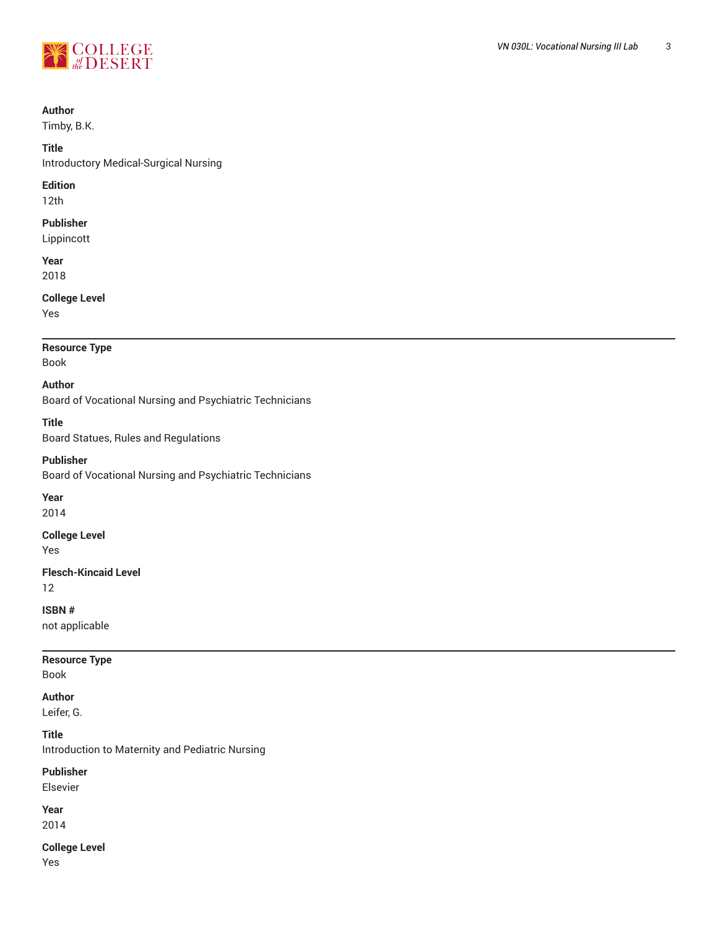

# **Author**

Timby, B.K.

#### **Title**

Introductory Medical-Surgical Nursing

### **Edition**

12th

# **Publisher**

Lippincott

**Year** 2018

# **College Level**

Yes

# **Resource Type**

Book

# **Author**

Board of Vocational Nursing and Psychiatric Technicians

# **Title**

Board Statues, Rules and Regulations

# **Publisher**

Board of Vocational Nursing and Psychiatric Technicians

# **Year**

2014

# **College Level**

Yes

# **Flesch-Kincaid Level**

12

# **ISBN #**

not applicable

# **Resource Type**

Book

# **Author**

Leifer, G.

# **Title**

Introduction to Maternity and Pediatric Nursing

# **Publisher**

Elsevier

#### **Year** 2014

**College Level**

Yes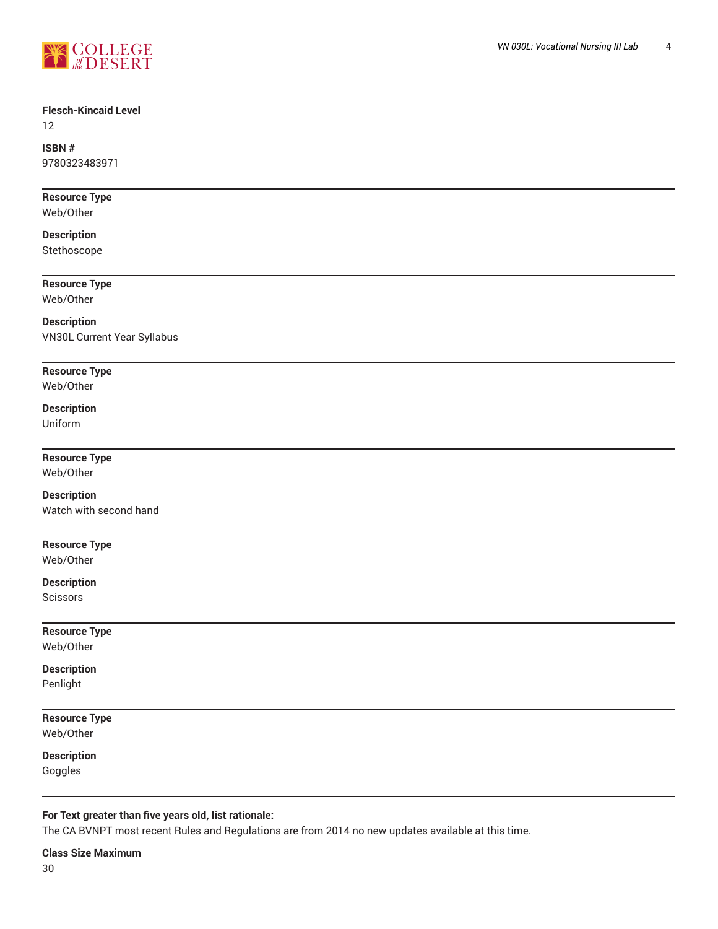

# **Flesch-Kincaid Level**

12

# **ISBN #**

9780323483971

# **Resource Type**

Web/Other

# **Description**

Stethoscope

# **Resource Type**

Web/Other

# **Description** VN30L Current Year Syllabus

# **Resource Type**

Web/Other

# **Description**

Uniform

# **Resource Type**

Web/Other

# **Description**

Watch with second hand

# **Resource Type**

Web/Other

# **Description**

**Scissors** 

### **Resource Type** Web/Other

**Description** Penlight

# **Resource Type** Web/Other

**Description**

Goggles

# **For Text greater than five years old, list rationale:**

The CA BVNPT most recent Rules and Regulations are from 2014 no new updates available at this time.

**Class Size Maximum** 30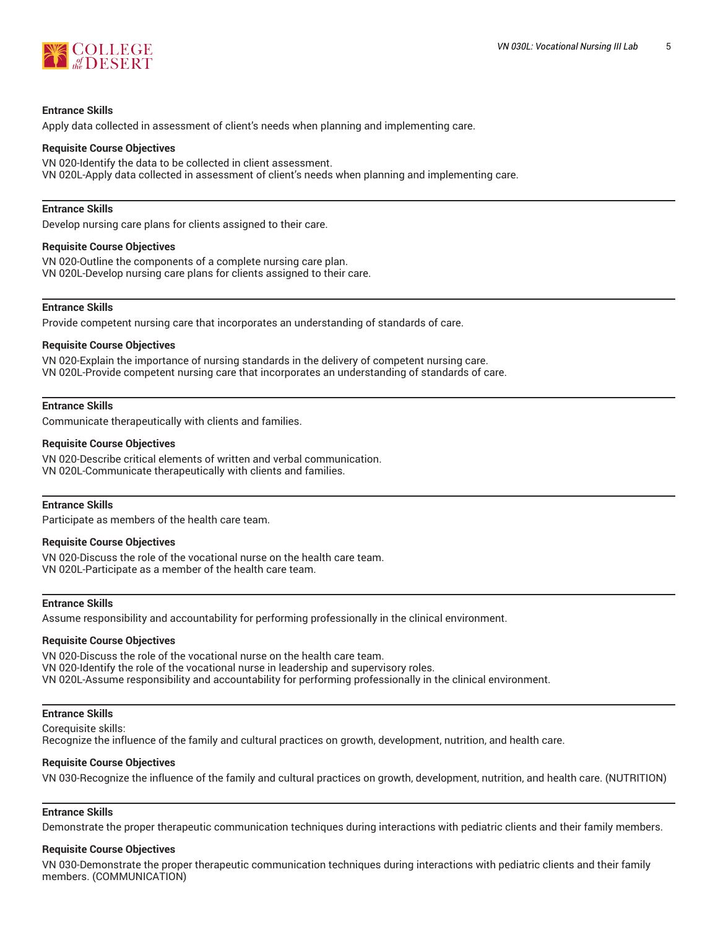

#### **Entrance Skills**

Apply data collected in assessment of client's needs when planning and implementing care.

#### **Requisite Course Objectives**

VN 020-Identify the data to be collected in client assessment. VN 020L-Apply data collected in assessment of client's needs when planning and implementing care.

### **Entrance Skills**

Develop nursing care plans for clients assigned to their care.

#### **Requisite Course Objectives**

VN 020-Outline the components of a complete nursing care plan. VN 020L-Develop nursing care plans for clients assigned to their care.

#### **Entrance Skills**

Provide competent nursing care that incorporates an understanding of standards of care.

#### **Requisite Course Objectives**

VN 020-Explain the importance of nursing standards in the delivery of competent nursing care. VN 020L-Provide competent nursing care that incorporates an understanding of standards of care.

#### **Entrance Skills**

Communicate therapeutically with clients and families.

#### **Requisite Course Objectives**

VN 020-Describe critical elements of written and verbal communication. VN 020L-Communicate therapeutically with clients and families.

#### **Entrance Skills**

Participate as members of the health care team.

#### **Requisite Course Objectives**

VN 020-Discuss the role of the vocational nurse on the health care team. VN 020L-Participate as a member of the health care team.

#### **Entrance Skills**

Assume responsibility and accountability for performing professionally in the clinical environment.

#### **Requisite Course Objectives**

VN 020-Discuss the role of the vocational nurse on the health care team. VN 020-Identify the role of the vocational nurse in leadership and supervisory roles. VN 020L-Assume responsibility and accountability for performing professionally in the clinical environment.

#### **Entrance Skills**

Corequisite skills: Recognize the influence of the family and cultural practices on growth, development, nutrition, and health care.

#### **Requisite Course Objectives**

VN 030-Recognize the influence of the family and cultural practices on growth, development, nutrition, and health care. (NUTRITION)

# **Entrance Skills**

Demonstrate the proper therapeutic communication techniques during interactions with pediatric clients and their family members.

# **Requisite Course Objectives**

VN 030-Demonstrate the proper therapeutic communication techniques during interactions with pediatric clients and their family members. (COMMUNICATION)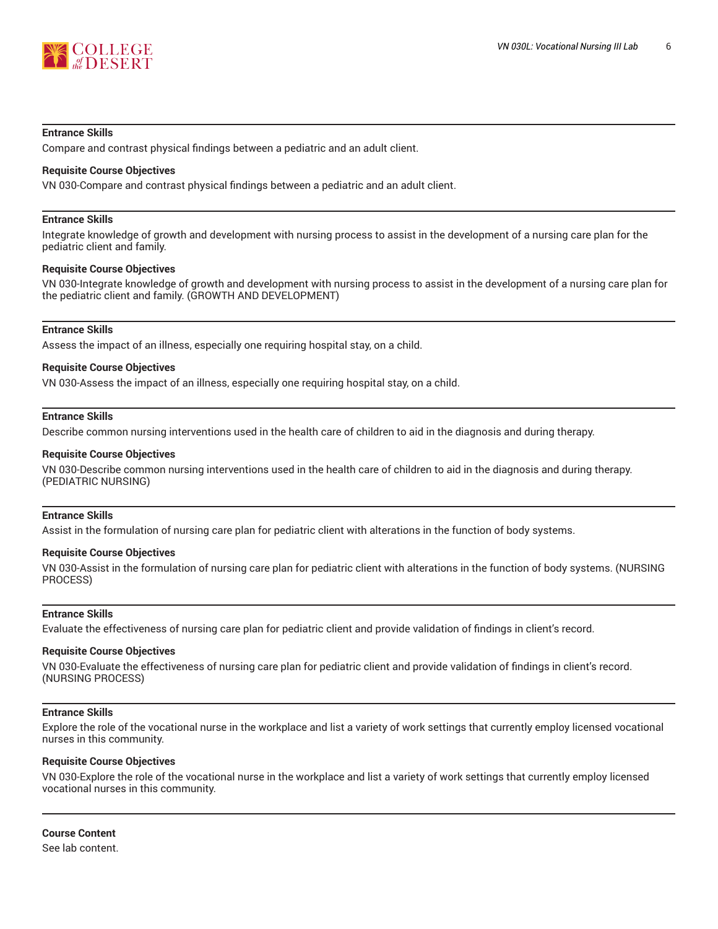

#### **Entrance Skills**

Compare and contrast physical findings between a pediatric and an adult client.

#### **Requisite Course Objectives**

VN 030-Compare and contrast physical findings between a pediatric and an adult client.

#### **Entrance Skills**

Integrate knowledge of growth and development with nursing process to assist in the development of a nursing care plan for the pediatric client and family.

#### **Requisite Course Objectives**

VN 030-Integrate knowledge of growth and development with nursing process to assist in the development of a nursing care plan for the pediatric client and family. (GROWTH AND DEVELOPMENT)

### **Entrance Skills**

Assess the impact of an illness, especially one requiring hospital stay, on a child.

#### **Requisite Course Objectives**

VN 030-Assess the impact of an illness, especially one requiring hospital stay, on a child.

#### **Entrance Skills**

Describe common nursing interventions used in the health care of children to aid in the diagnosis and during therapy.

#### **Requisite Course Objectives**

VN 030-Describe common nursing interventions used in the health care of children to aid in the diagnosis and during therapy. (PEDIATRIC NURSING)

#### **Entrance Skills**

Assist in the formulation of nursing care plan for pediatric client with alterations in the function of body systems.

#### **Requisite Course Objectives**

VN 030-Assist in the formulation of nursing care plan for pediatric client with alterations in the function of body systems. (NURSING PROCESS)

#### **Entrance Skills**

Evaluate the effectiveness of nursing care plan for pediatric client and provide validation of findings in client's record.

#### **Requisite Course Objectives**

VN 030-Evaluate the effectiveness of nursing care plan for pediatric client and provide validation of findings in client's record. (NURSING PROCESS)

#### **Entrance Skills**

Explore the role of the vocational nurse in the workplace and list a variety of work settings that currently employ licensed vocational nurses in this community.

#### **Requisite Course Objectives**

VN 030-Explore the role of the vocational nurse in the workplace and list a variety of work settings that currently employ licensed vocational nurses in this community.

**Course Content** See lab content.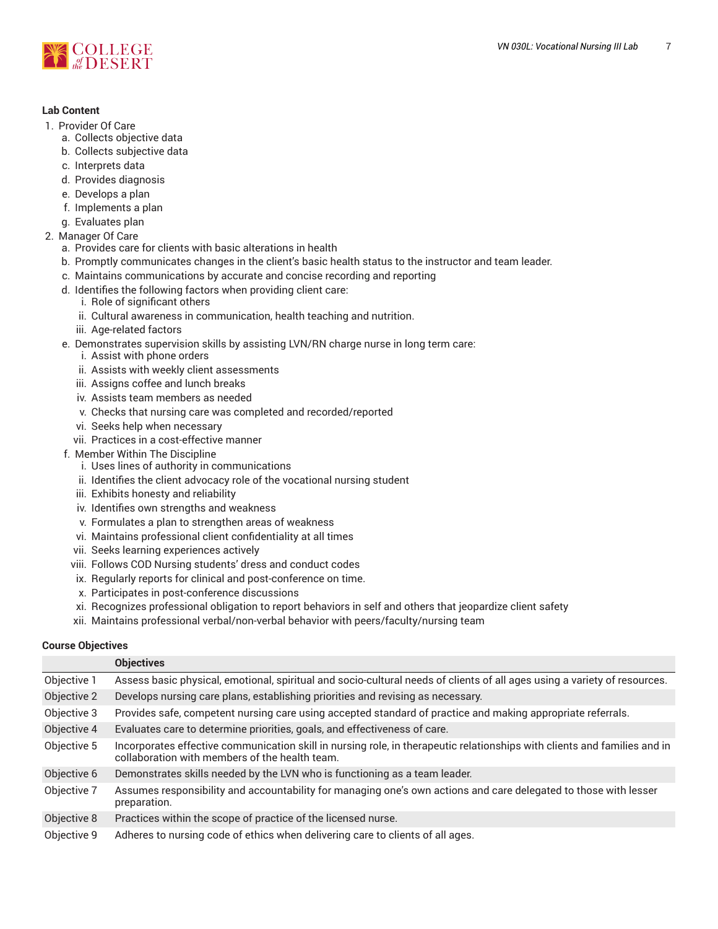

#### **Lab Content**

- 1. Provider Of Care
	- a. Collects objective data
	- b. Collects subjective data
	- c. Interprets data
	- d. Provides diagnosis
	- e. Develops a plan
	- f. Implements a plan
	- g. Evaluates plan
- 2. Manager Of Care
	- a. Provides care for clients with basic alterations in health
	- b. Promptly communicates changes in the client's basic health status to the instructor and team leader.
	- c. Maintains communications by accurate and concise recording and reporting
	- d. Identifies the following factors when providing client care:
		- i. Role of significant others
			- ii. Cultural awareness in communication, health teaching and nutrition.
		- iii. Age-related factors
	- e. Demonstrates supervision skills by assisting LVN/RN charge nurse in long term care:
		- i. Assist with phone orders
		- ii. Assists with weekly client assessments
		- iii. Assigns coffee and lunch breaks
		- iv. Assists team members as needed
		- v. Checks that nursing care was completed and recorded/reported
		- vi. Seeks help when necessary
		- vii. Practices in a cost-effective manner
	- f. Member Within The Discipline
		- i. Uses lines of authority in communications
		- ii. Identifies the client advocacy role of the vocational nursing student
		- iii. Exhibits honesty and reliability
		- iv. Identifies own strengths and weakness
		- v. Formulates a plan to strengthen areas of weakness
		- vi. Maintains professional client confidentiality at all times
		- vii. Seeks learning experiences actively
		- viii. Follows COD Nursing students' dress and conduct codes
		- ix. Regularly reports for clinical and post-conference on time.
		- x. Participates in post-conference discussions
		- xi. Recognizes professional obligation to report behaviors in self and others that jeopardize client safety
		- xii. Maintains professional verbal/non-verbal behavior with peers/faculty/nursing team

#### **Course Objectives**

|             | <b>Objectives</b>                                                                                                                                                           |
|-------------|-----------------------------------------------------------------------------------------------------------------------------------------------------------------------------|
| Objective 1 | Assess basic physical, emotional, spiritual and socio-cultural needs of clients of all ages using a variety of resources.                                                   |
| Objective 2 | Develops nursing care plans, establishing priorities and revising as necessary.                                                                                             |
| Objective 3 | Provides safe, competent nursing care using accepted standard of practice and making appropriate referrals.                                                                 |
| Objective 4 | Evaluates care to determine priorities, goals, and effectiveness of care.                                                                                                   |
| Objective 5 | Incorporates effective communication skill in nursing role, in therapeutic relationships with clients and families and in<br>collaboration with members of the health team. |
| Objective 6 | Demonstrates skills needed by the LVN who is functioning as a team leader.                                                                                                  |
| Objective 7 | Assumes responsibility and accountability for managing one's own actions and care delegated to those with lesser<br>preparation.                                            |
| Objective 8 | Practices within the scope of practice of the licensed nurse.                                                                                                               |
| Objective 9 | Adheres to nursing code of ethics when delivering care to clients of all ages.                                                                                              |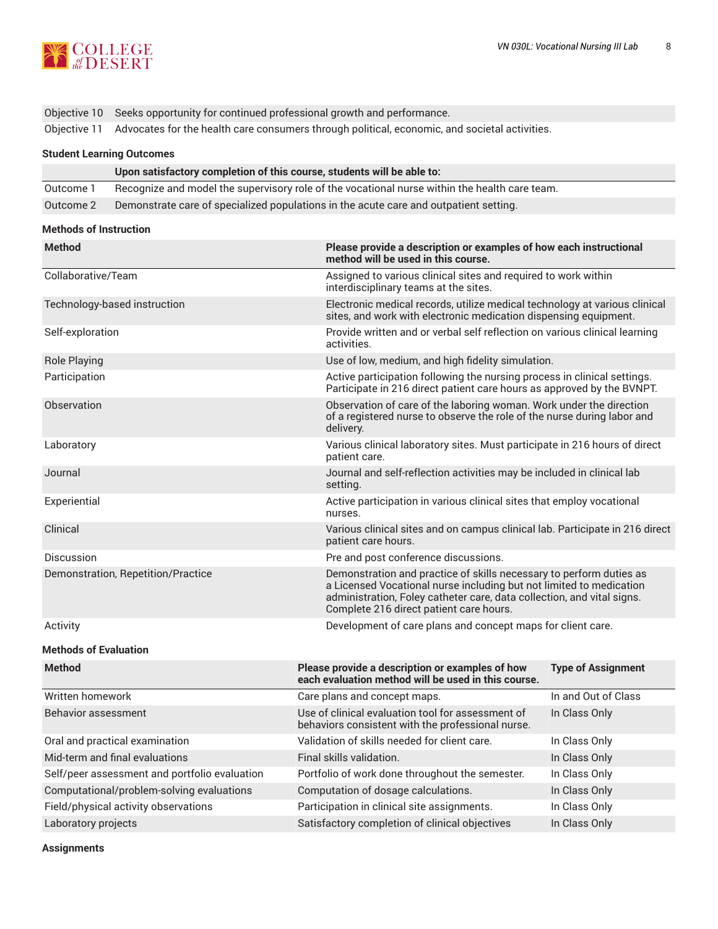

Objective 10 Seeks opportunity for continued professional growth and performance.

Objective 11 Advocates for the health care consumers through political, economic, and societal activities.

#### **Student Learning Outcomes**

|           | Upon satisfactory completion of this course, students will be able to:                        |
|-----------|-----------------------------------------------------------------------------------------------|
| Outcome 1 | Recognize and model the supervisory role of the vocational nurse within the health care team. |
| Outcome 2 | Demonstrate care of specialized populations in the acute care and outpatient setting.         |

#### **Methods of Instruction**

| <b>Method</b>                      | Please provide a description or examples of how each instructional<br>method will be used in this course.                                                                                                                                                       |
|------------------------------------|-----------------------------------------------------------------------------------------------------------------------------------------------------------------------------------------------------------------------------------------------------------------|
| Collaborative/Team                 | Assigned to various clinical sites and required to work within<br>interdisciplinary teams at the sites.                                                                                                                                                         |
| Technology-based instruction       | Electronic medical records, utilize medical technology at various clinical<br>sites, and work with electronic medication dispensing equipment.                                                                                                                  |
| Self-exploration                   | Provide written and or verbal self reflection on various clinical learning<br>activities.                                                                                                                                                                       |
| <b>Role Playing</b>                | Use of low, medium, and high fidelity simulation.                                                                                                                                                                                                               |
| Participation                      | Active participation following the nursing process in clinical settings.<br>Participate in 216 direct patient care hours as approved by the BVNPT.                                                                                                              |
| Observation                        | Observation of care of the laboring woman. Work under the direction<br>of a registered nurse to observe the role of the nurse during labor and<br>delivery.                                                                                                     |
| Laboratory                         | Various clinical laboratory sites. Must participate in 216 hours of direct<br>patient care.                                                                                                                                                                     |
| Journal                            | Journal and self-reflection activities may be included in clinical lab<br>setting.                                                                                                                                                                              |
| Experiential                       | Active participation in various clinical sites that employ vocational<br>nurses.                                                                                                                                                                                |
| Clinical                           | Various clinical sites and on campus clinical lab. Participate in 216 direct<br>patient care hours.                                                                                                                                                             |
| Discussion                         | Pre and post conference discussions.                                                                                                                                                                                                                            |
| Demonstration, Repetition/Practice | Demonstration and practice of skills necessary to perform duties as<br>a Licensed Vocational nurse including but not limited to medication<br>administration, Foley catheter care, data collection, and vital signs.<br>Complete 216 direct patient care hours. |
| Activity                           | Development of care plans and concept maps for client care.                                                                                                                                                                                                     |

#### **Methods of Evaluation**

| <b>Method</b>                                 | Please provide a description or examples of how<br>each evaluation method will be used in this course. | <b>Type of Assignment</b> |
|-----------------------------------------------|--------------------------------------------------------------------------------------------------------|---------------------------|
| Written homework                              | Care plans and concept maps.                                                                           | In and Out of Class       |
| Behavior assessment                           | Use of clinical evaluation tool for assessment of<br>behaviors consistent with the professional nurse. | In Class Only             |
| Oral and practical examination                | Validation of skills needed for client care.                                                           | In Class Only             |
| Mid-term and final evaluations                | Final skills validation.                                                                               | In Class Only             |
| Self/peer assessment and portfolio evaluation | Portfolio of work done throughout the semester.                                                        | In Class Only             |
| Computational/problem-solving evaluations     | Computation of dosage calculations.                                                                    | In Class Only             |
| Field/physical activity observations          | Participation in clinical site assignments.                                                            | In Class Only             |
| Laboratory projects                           | Satisfactory completion of clinical objectives                                                         | In Class Only             |

**Assignments**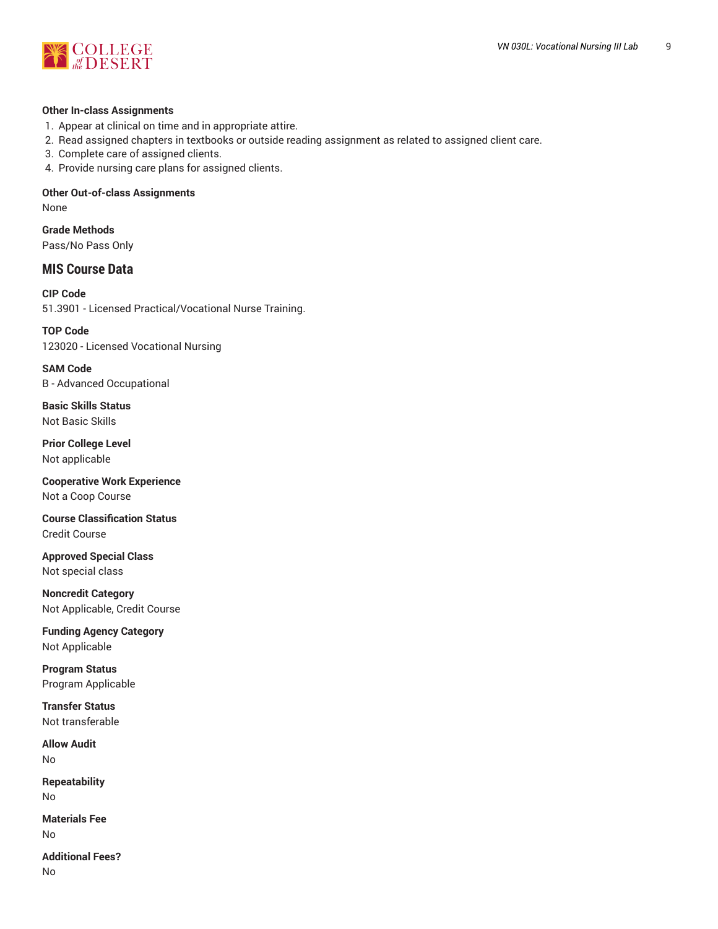

#### **Other In-class Assignments**

- 1. Appear at clinical on time and in appropriate attire.
- 2. Read assigned chapters in textbooks or outside reading assignment as related to assigned client care.
- 3. Complete care of assigned clients.
- 4. Provide nursing care plans for assigned clients.

# **Other Out-of-class Assignments**

None

**Grade Methods** Pass/No Pass Only

# **MIS Course Data**

**CIP Code** 51.3901 - Licensed Practical/Vocational Nurse Training.

**TOP Code** 123020 - Licensed Vocational Nursing

**SAM Code** B - Advanced Occupational

**Basic Skills Status** Not Basic Skills

**Prior College Level** Not applicable

**Cooperative Work Experience** Not a Coop Course

**Course Classification Status** Credit Course

**Approved Special Class** Not special class

**Noncredit Category** Not Applicable, Credit Course

**Funding Agency Category** Not Applicable

**Program Status** Program Applicable

**Transfer Status** Not transferable

**Allow Audit** No

**Repeatability** No

**Materials Fee** No

**Additional Fees?** No